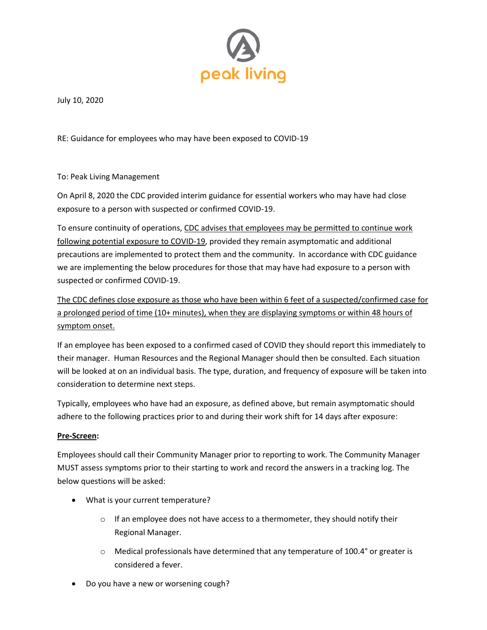

July 10, 2020

RE: Guidance for employees who may have been exposed to COVID-19

To: Peak Living Management

On April 8, 2020 the CDC provided interim guidance for essential workers who may have had close exposure to a person with suspected or confirmed COVID-19.

To ensure continuity of operations, CDC advises that employees may be permitted to continue work following potential exposure to COVID-19, provided they remain asymptomatic and additional precautions are implemented to protect them and the community. In accordance with CDC guidance we are implementing the below procedures for those that may have had exposure to a person with suspected or confirmed COVID-19.

The CDC defines close exposure as those who have been within 6 feet of a suspected/confirmed case for a prolonged period of time (10+ minutes), when they are displaying symptoms or within 48 hours of symptom onset.

If an employee has been exposed to a confirmed cased of COVID they should report this immediately to their manager. Human Resources and the Regional Manager should then be consulted. Each situation will be looked at on an individual basis. The type, duration, and frequency of exposure will be taken into consideration to determine next steps.

Typically, employees who have had an exposure, as defined above, but remain asymptomatic should adhere to the following practices prior to and during their work shift for 14 days after exposure:

### **Pre-Screen:**

Employees should call their Community Manager prior to reporting to work. The Community Manager MUST assess symptoms prior to their starting to work and record the answers in a tracking log. The below questions will be asked:

- What is your current temperature?
	- $\circ$  If an employee does not have access to a thermometer, they should notify their Regional Manager.
	- $\circ$  Medical professionals have determined that any temperature of 100.4 $\degree$  or greater is considered a fever.
- Do you have a new or worsening cough?